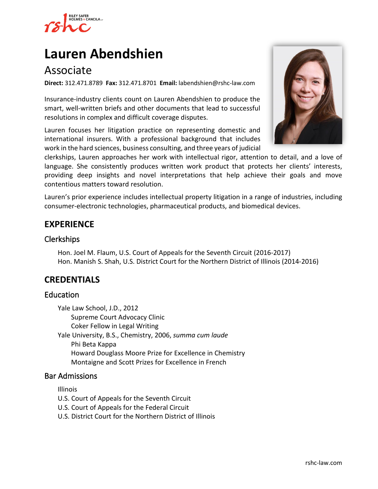

# **[Lauren Abendshien](https://www.rshc-law.com/attorneys/attorney/lauren-abendshien)**

# Associate

**Direct:** 312.471.8789 **Fax:** 312.471.8701 **Email:** labendshien@rshc-law.com

Insurance-industry clients count on Lauren Abendshien to produce the smart, well-written briefs and other documents that lead to successful resolutions in complex and difficult coverage disputes.

Lauren focuses her litigation practice on representing domestic and international insurers. With a professional background that includes work in the hard sciences, business consulting, and three years of judicial



clerkships, Lauren approaches her work with intellectual rigor, attention to detail, and a love of language. She consistently produces written work product that protects her clients' interests, providing deep insights and novel interpretations that help achieve their goals and move contentious matters toward resolution.

Lauren's prior experience includes intellectual property litigation in a range of industries, including consumer-electronic technologies, pharmaceutical products, and biomedical devices.

## **EXPERIENCE**

#### **Clerkships**

Hon. Joel M. Flaum, U.S. Court of Appeals for the Seventh Circuit (2016-2017) Hon. Manish S. Shah, U.S. District Court for the Northern District of Illinois (2014-2016)

### **CREDENTIALS**

#### Education

Yale Law School, J.D., 2012 Supreme Court Advocacy Clinic Coker Fellow in Legal Writing Yale University, B.S., Chemistry, 2006, *summa cum laude* Phi Beta Kappa Howard Douglass Moore Prize for Excellence in Chemistry Montaigne and Scott Prizes for Excellence in French

#### Bar Admissions

Illinois

U.S. Court of Appeals for the Seventh Circuit

U.S. Court of Appeals for the Federal Circuit

U.S. District Court for the Northern District of Illinois